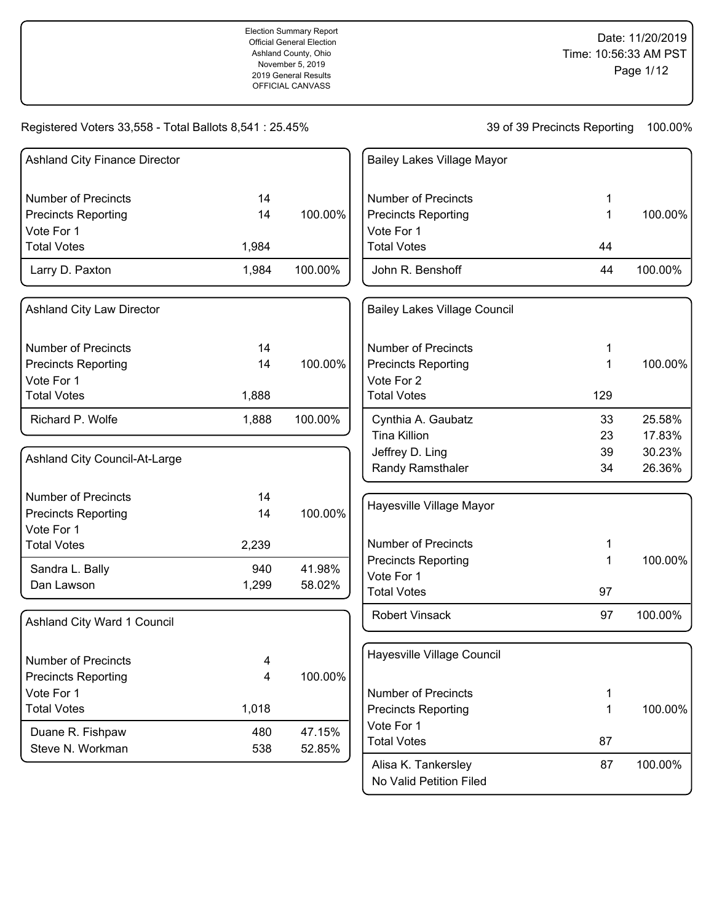39 of 39 Precincts Reporting 100.00%

| <b>Ashland City Finance Director</b>     |                     |         | <b>Bailey Lakes Village Mayor</b>   |     |         |
|------------------------------------------|---------------------|---------|-------------------------------------|-----|---------|
| <b>Number of Precincts</b>               | 14                  |         | <b>Number of Precincts</b>          | 1   |         |
| <b>Precincts Reporting</b>               | 14                  | 100.00% | <b>Precincts Reporting</b>          | 1   | 100.00% |
| Vote For 1                               |                     |         | Vote For 1                          |     |         |
| <b>Total Votes</b>                       | 1,984               |         | <b>Total Votes</b>                  | 44  |         |
| Larry D. Paxton                          | 1,984               | 100.00% | John R. Benshoff                    | 44  | 100.00% |
| <b>Ashland City Law Director</b>         |                     |         | <b>Bailey Lakes Village Council</b> |     |         |
| <b>Number of Precincts</b>               | 14                  |         | <b>Number of Precincts</b>          | 1   |         |
| <b>Precincts Reporting</b>               | 14                  | 100.00% | <b>Precincts Reporting</b>          | 1   | 100.00% |
| Vote For 1                               |                     |         | Vote For 2                          |     |         |
| <b>Total Votes</b>                       | 1,888               |         | <b>Total Votes</b>                  | 129 |         |
| Richard P. Wolfe                         | 1,888               | 100.00% | Cynthia A. Gaubatz                  | 33  | 25.58%  |
|                                          |                     |         | <b>Tina Killion</b>                 | 23  | 17.83%  |
| Ashland City Council-At-Large            |                     |         | Jeffrey D. Ling                     | 39  | 30.23%  |
|                                          |                     |         | Randy Ramsthaler                    | 34  | 26.36%  |
| <b>Number of Precincts</b>               | 14                  |         | Hayesville Village Mayor            |     |         |
| <b>Precincts Reporting</b>               | 14                  | 100.00% |                                     |     |         |
| Vote For 1<br><b>Total Votes</b>         |                     |         | <b>Number of Precincts</b>          | 1   |         |
|                                          | 2,239               |         | <b>Precincts Reporting</b>          | 1   | 100.00% |
| Sandra L. Bally                          | 940                 | 41.98%  | Vote For 1                          |     |         |
| Dan Lawson                               | 1,299               | 58.02%  | <b>Total Votes</b>                  | 97  |         |
| Ashland City Ward 1 Council              |                     |         | <b>Robert Vinsack</b>               | 97  | 100.00% |
| <b>Number of Precincts</b>               |                     |         | Hayesville Village Council          |     |         |
|                                          | 4<br>$\overline{4}$ | 100.00% |                                     |     |         |
| <b>Precincts Reporting</b><br>Vote For 1 |                     |         | <b>Number of Precincts</b>          | 1   |         |
| <b>Total Votes</b>                       | 1,018               |         | <b>Precincts Reporting</b>          | 1   | 100.00% |
|                                          |                     |         | Vote For 1                          |     |         |
| Duane R. Fishpaw                         | 480                 | 47.15%  | <b>Total Votes</b>                  | 87  |         |
| Steve N. Workman                         | 538                 | 52.85%  |                                     |     |         |
|                                          |                     |         | Alisa K. Tankersley                 | 87  | 100.00% |

No Valid Petition Filed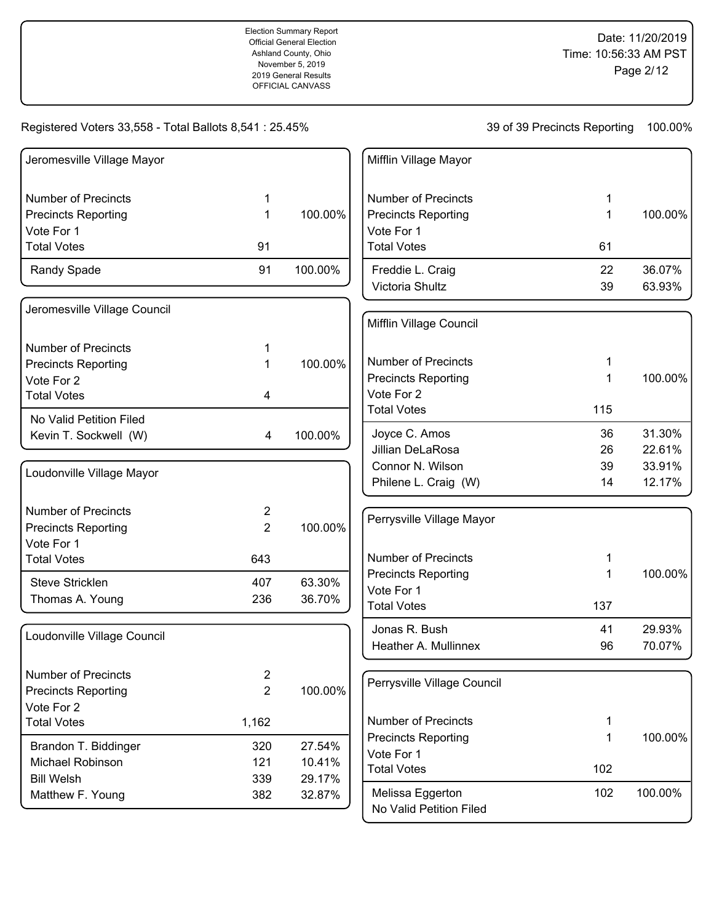# Registered Voters 33,558 - Total Ballots 8,541 : 25.45%

| Jeromesville Village Mayor   |                |         | Mifflin Village Mayor       |     |         |
|------------------------------|----------------|---------|-----------------------------|-----|---------|
| <b>Number of Precincts</b>   | 1              |         | <b>Number of Precincts</b>  | 1   |         |
| <b>Precincts Reporting</b>   | 1              | 100.00% | <b>Precincts Reporting</b>  | 1   | 100.00% |
| Vote For 1                   |                |         | Vote For 1                  |     |         |
| <b>Total Votes</b>           | 91             |         | <b>Total Votes</b>          | 61  |         |
| Randy Spade                  | 91             | 100.00% | Freddie L. Craig            | 22  | 36.07%  |
|                              |                |         | Victoria Shultz             | 39  | 63.93%  |
| Jeromesville Village Council |                |         | Mifflin Village Council     |     |         |
| <b>Number of Precincts</b>   | 1              |         |                             |     |         |
| <b>Precincts Reporting</b>   | 1              | 100.00% | <b>Number of Precincts</b>  | 1   |         |
| Vote For 2                   |                |         | <b>Precincts Reporting</b>  | 1   | 100.00% |
| <b>Total Votes</b>           | 4              |         | Vote For 2                  |     |         |
| No Valid Petition Filed      |                |         | <b>Total Votes</b>          | 115 |         |
| Kevin T. Sockwell (W)        | 4              | 100.00% | Joyce C. Amos               | 36  | 31.30%  |
|                              |                |         | <b>Jillian DeLaRosa</b>     | 26  | 22.61%  |
| Loudonville Village Mayor    |                |         | Connor N. Wilson            | 39  | 33.91%  |
|                              |                |         | Philene L. Craig (W)        | 14  | 12.17%  |
| <b>Number of Precincts</b>   | $\overline{2}$ |         |                             |     |         |
| <b>Precincts Reporting</b>   | $\overline{c}$ | 100.00% | Perrysville Village Mayor   |     |         |
| Vote For 1                   |                |         |                             |     |         |
| <b>Total Votes</b>           | 643            |         | <b>Number of Precincts</b>  | 1   |         |
| Steve Stricklen              | 407            | 63.30%  | <b>Precincts Reporting</b>  | 1   | 100.00% |
| Thomas A. Young              | 236            | 36.70%  | Vote For 1                  |     |         |
|                              |                |         | <b>Total Votes</b>          | 137 |         |
| Loudonville Village Council  |                |         | Jonas R. Bush               | 41  | 29.93%  |
|                              |                |         | Heather A. Mullinnex        | 96  | 70.07%  |
| Number of Precincts          | 2              |         |                             |     |         |
| <b>Precincts Reporting</b>   | $\overline{2}$ | 100.00% | Perrysville Village Council |     |         |
| Vote For 2                   |                |         |                             |     |         |
| <b>Total Votes</b>           | 1,162          |         | <b>Number of Precincts</b>  | 1   |         |
| Brandon T. Biddinger         | 320            | 27.54%  | <b>Precincts Reporting</b>  | 1   | 100.00% |
| Michael Robinson             | 121            | 10.41%  | Vote For 1                  |     |         |
| <b>Bill Welsh</b>            | 339            | 29.17%  | <b>Total Votes</b>          | 102 |         |
| Matthew F. Young             | 382            | 32.87%  | Melissa Eggerton            | 102 | 100.00% |
|                              |                |         | No Valid Petition Filed     |     |         |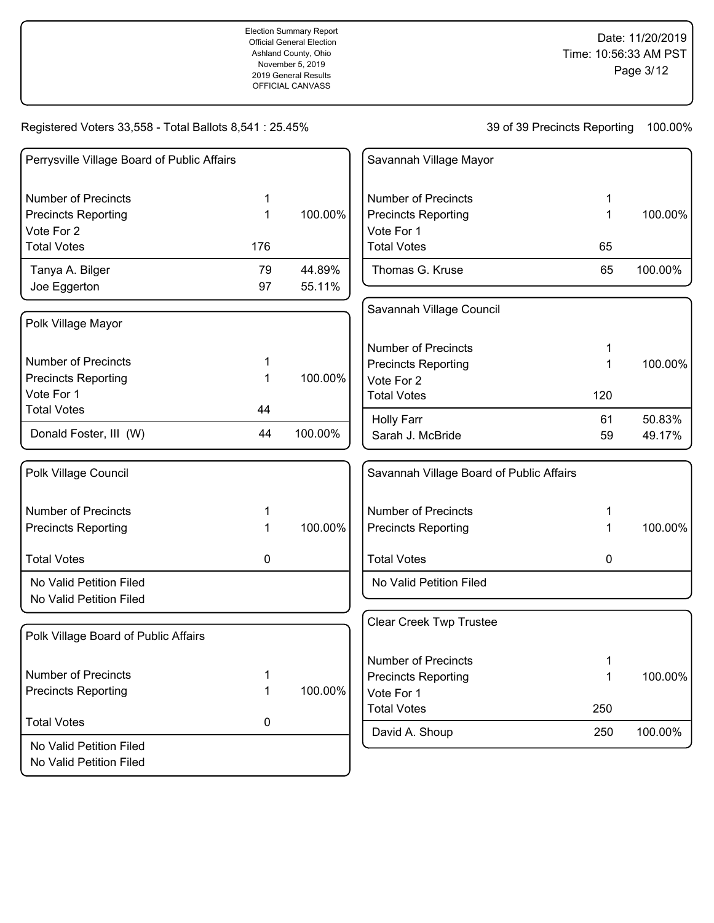Registered Voters 33,558 - Total Ballots 8,541 : 25.45%

No Valid Petition Filed

| Perrysville Village Board of Public Affairs |             |         | Savannah Village Mayor                   |     |         |
|---------------------------------------------|-------------|---------|------------------------------------------|-----|---------|
| <b>Number of Precincts</b>                  | 1           |         | <b>Number of Precincts</b>               | 1   |         |
| <b>Precincts Reporting</b>                  | $\mathbf 1$ | 100.00% | <b>Precincts Reporting</b>               | 1   | 100.00% |
| Vote For 2                                  |             |         | Vote For 1                               |     |         |
| <b>Total Votes</b>                          | 176         |         | <b>Total Votes</b>                       | 65  |         |
| Tanya A. Bilger                             | 79          | 44.89%  | Thomas G. Kruse                          | 65  | 100.00% |
| Joe Eggerton                                | 97          | 55.11%  |                                          |     |         |
| Polk Village Mayor                          |             |         | Savannah Village Council                 |     |         |
|                                             |             |         | <b>Number of Precincts</b>               | 1   |         |
| <b>Number of Precincts</b>                  | 1           |         | <b>Precincts Reporting</b>               | 1   | 100.00% |
| <b>Precincts Reporting</b>                  | 1           | 100.00% | Vote For 2                               |     |         |
| Vote For 1                                  |             |         | <b>Total Votes</b>                       | 120 |         |
| <b>Total Votes</b>                          | 44          |         | <b>Holly Farr</b>                        | 61  | 50.83%  |
| Donald Foster, III (W)                      | 44          | 100.00% | Sarah J. McBride                         | 59  | 49.17%  |
| Polk Village Council                        |             |         | Savannah Village Board of Public Affairs |     |         |
| <b>Number of Precincts</b>                  | 1           |         | <b>Number of Precincts</b>               | 1   |         |
| <b>Precincts Reporting</b>                  | 1           | 100.00% | <b>Precincts Reporting</b>               | 1   | 100.00% |
| <b>Total Votes</b>                          | 0           |         | <b>Total Votes</b>                       | 0   |         |
| No Valid Petition Filed                     |             |         | No Valid Petition Filed                  |     |         |
| No Valid Petition Filed                     |             |         |                                          |     |         |
| Polk Village Board of Public Affairs        |             |         | <b>Clear Creek Twp Trustee</b>           |     |         |
|                                             |             |         | <b>Number of Precincts</b>               | 1   |         |
| <b>Number of Precincts</b>                  | 1           |         | <b>Precincts Reporting</b>               | 1   | 100.00% |
| <b>Precincts Reporting</b>                  | 1           | 100.00% | Vote For 1                               |     |         |
|                                             |             |         | <b>Total Votes</b>                       | 250 |         |
| <b>Total Votes</b>                          | 0           |         | David A. Shoup                           | 250 | 100.00% |
| No Valid Petition Filed                     |             |         |                                          |     |         |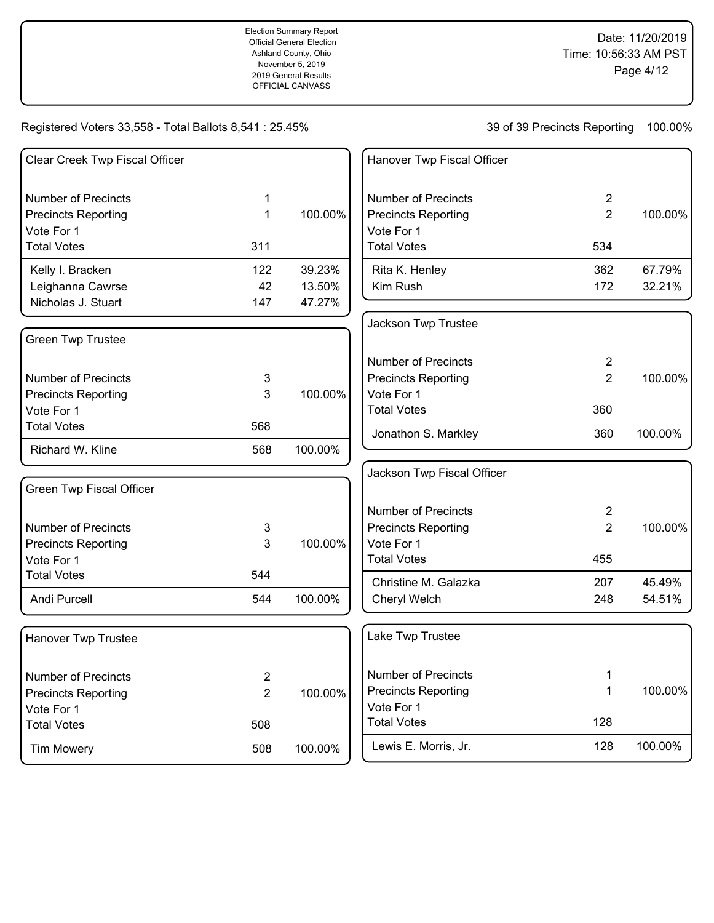# Registered Voters 33,558 - Total Ballots 8,541 : 25.45%

| Clear Creek Twp Fiscal Officer  |                |         | Hanover Twp Fiscal Officer |                |         |
|---------------------------------|----------------|---------|----------------------------|----------------|---------|
| <b>Number of Precincts</b>      | 1              |         | <b>Number of Precincts</b> | $\overline{2}$ |         |
| <b>Precincts Reporting</b>      | 1              | 100.00% | <b>Precincts Reporting</b> | $\overline{2}$ | 100.00% |
| Vote For 1                      |                |         | Vote For 1                 |                |         |
| <b>Total Votes</b>              | 311            |         | <b>Total Votes</b>         | 534            |         |
| Kelly I. Bracken                | 122            | 39.23%  | Rita K. Henley             | 362            | 67.79%  |
| Leighanna Cawrse                | 42             | 13.50%  | Kim Rush                   | 172            | 32.21%  |
| Nicholas J. Stuart              | 147            | 47.27%  |                            |                |         |
|                                 |                |         | Jackson Twp Trustee        |                |         |
| <b>Green Twp Trustee</b>        |                |         |                            |                |         |
|                                 |                |         | <b>Number of Precincts</b> | $\overline{2}$ |         |
| <b>Number of Precincts</b>      | 3              |         | <b>Precincts Reporting</b> | $\overline{2}$ | 100.00% |
| <b>Precincts Reporting</b>      | 3              | 100.00% | Vote For 1                 |                |         |
| Vote For 1                      |                |         | <b>Total Votes</b>         | 360            |         |
| <b>Total Votes</b>              | 568            |         | Jonathon S. Markley        | 360            | 100.00% |
| Richard W. Kline                | 568            | 100.00% |                            |                |         |
|                                 |                |         | Jackson Twp Fiscal Officer |                |         |
| <b>Green Twp Fiscal Officer</b> |                |         |                            |                |         |
|                                 |                |         | <b>Number of Precincts</b> | $\overline{2}$ |         |
| <b>Number of Precincts</b>      | 3              |         | <b>Precincts Reporting</b> | $\overline{2}$ | 100.00% |
| <b>Precincts Reporting</b>      | 3              | 100.00% | Vote For 1                 |                |         |
| Vote For 1                      |                |         | <b>Total Votes</b>         | 455            |         |
| <b>Total Votes</b>              | 544            |         | Christine M. Galazka       | 207            | 45.49%  |
| Andi Purcell                    | 544            | 100.00% | Cheryl Welch               | 248            | 54.51%  |
| <b>Hanover Twp Trustee</b>      |                |         | Lake Twp Trustee           |                |         |
| <b>Number of Precincts</b>      | 2              |         | <b>Number of Precincts</b> | 1              |         |
| <b>Precincts Reporting</b>      | $\overline{2}$ | 100.00% | <b>Precincts Reporting</b> | 1              | 100.00% |
| Vote For 1                      |                |         | Vote For 1                 |                |         |
| <b>Total Votes</b>              | 508            |         | <b>Total Votes</b>         | 128            |         |
| <b>Tim Mowery</b>               | 508            | 100.00% | Lewis E. Morris, Jr.       | 128            | 100.00% |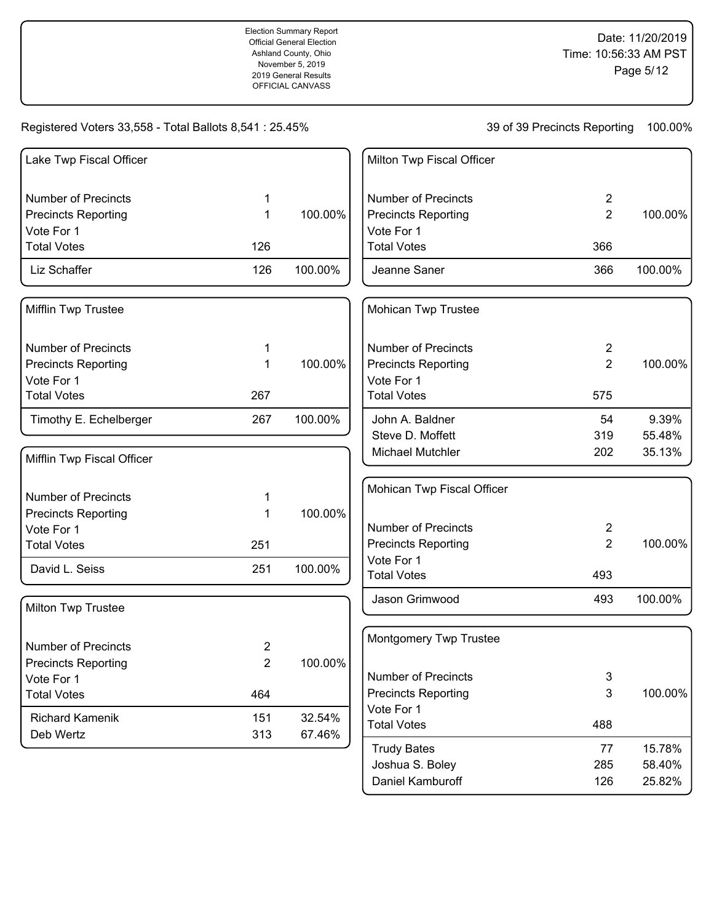# Registered Voters 33,558 - Total Ballots 8,541 : 25.45%

39 of 39 Precincts Reporting 100.00%

Daniel Kamburoff 126 25.82%

| Lake Twp Fiscal Officer    |                |         | Milton Twp Fiscal Officer        |                |         |
|----------------------------|----------------|---------|----------------------------------|----------------|---------|
| <b>Number of Precincts</b> | 1              |         | <b>Number of Precincts</b>       | $\overline{2}$ |         |
| <b>Precincts Reporting</b> | 1              | 100.00% | <b>Precincts Reporting</b>       | $\overline{2}$ | 100.00% |
| Vote For 1                 |                |         | Vote For 1                       |                |         |
| <b>Total Votes</b>         | 126            |         | <b>Total Votes</b>               | 366            |         |
| Liz Schaffer               | 126            | 100.00% | Jeanne Saner                     | 366            | 100.00% |
| Mifflin Twp Trustee        |                |         | Mohican Twp Trustee              |                |         |
| <b>Number of Precincts</b> | 1              |         | <b>Number of Precincts</b>       | $\overline{c}$ |         |
| <b>Precincts Reporting</b> | 1              | 100.00% | <b>Precincts Reporting</b>       | $\overline{2}$ | 100.00% |
| Vote For 1                 |                |         | Vote For 1                       |                |         |
| <b>Total Votes</b>         | 267            |         | <b>Total Votes</b>               | 575            |         |
| Timothy E. Echelberger     | 267            | 100.00% | John A. Baldner                  | 54             | 9.39%   |
|                            |                |         | Steve D. Moffett                 | 319            | 55.48%  |
| Mifflin Twp Fiscal Officer |                |         | Michael Mutchler                 | 202            | 35.13%  |
|                            |                |         | Mohican Twp Fiscal Officer       |                |         |
| <b>Number of Precincts</b> | 1              |         |                                  |                |         |
| <b>Precincts Reporting</b> | 1              | 100.00% |                                  |                |         |
| Vote For 1                 |                |         | <b>Number of Precincts</b>       | 2              |         |
| <b>Total Votes</b>         | 251            |         | <b>Precincts Reporting</b>       | 2              | 100.00% |
| David L. Seiss             | 251            | 100.00% | Vote For 1<br><b>Total Votes</b> | 493            |         |
| Milton Twp Trustee         |                |         | Jason Grimwood                   | 493            | 100.00% |
|                            |                |         | Montgomery Twp Trustee           |                |         |
| <b>Number of Precincts</b> | $\overline{c}$ |         |                                  |                |         |
| <b>Precincts Reporting</b> | $\overline{2}$ | 100.00% |                                  |                |         |
| Vote For 1                 |                |         | <b>Number of Precincts</b>       | $\sqrt{3}$     |         |
| <b>Total Votes</b>         | 464            |         | <b>Precincts Reporting</b>       | 3              | 100.00% |
| <b>Richard Kamenik</b>     | 151            | 32.54%  | Vote For 1                       |                |         |
| Deb Wertz                  | 313            | 67.46%  | <b>Total Votes</b>               | 488            |         |
|                            |                |         | <b>Trudy Bates</b>               | 77             | 15.78%  |
|                            |                |         | Joshua S. Boley                  | 285            | 58.40%  |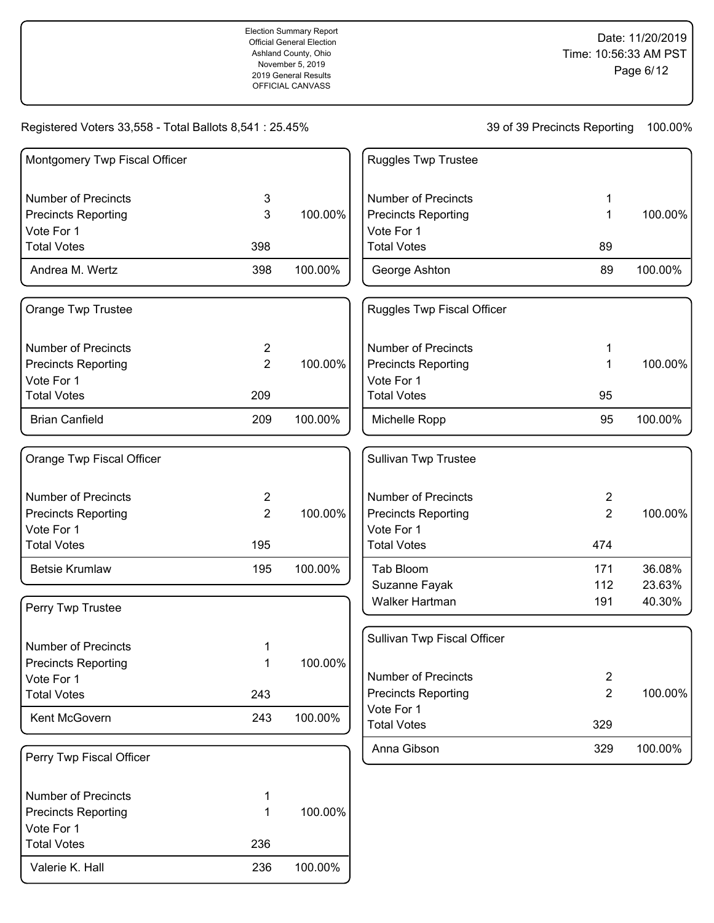Date: 11/20/2019 Time: 10:56:33 AM PST Page 6/12

Registered Voters 33,558 - Total Ballots 8,541 : 25.45%

| Montgomery Twp Fiscal Officer |                |         | <b>Ruggles Twp Trustee</b>  |                |         |
|-------------------------------|----------------|---------|-----------------------------|----------------|---------|
| <b>Number of Precincts</b>    | 3              |         | <b>Number of Precincts</b>  | 1              |         |
| <b>Precincts Reporting</b>    | 3              | 100.00% | <b>Precincts Reporting</b>  | $\mathbf{1}$   | 100.00% |
| Vote For 1                    |                |         | Vote For 1                  |                |         |
| <b>Total Votes</b>            | 398            |         | <b>Total Votes</b>          | 89             |         |
| Andrea M. Wertz               | 398            | 100.00% | George Ashton               | 89             | 100.00% |
| Orange Twp Trustee            |                |         | Ruggles Twp Fiscal Officer  |                |         |
| <b>Number of Precincts</b>    | $\overline{c}$ |         | <b>Number of Precincts</b>  | 1              |         |
| <b>Precincts Reporting</b>    | $\overline{2}$ | 100.00% | <b>Precincts Reporting</b>  | 1              | 100.00% |
| Vote For 1                    |                |         | Vote For 1                  |                |         |
| <b>Total Votes</b>            | 209            |         | <b>Total Votes</b>          | 95             |         |
| <b>Brian Canfield</b>         | 209            | 100.00% | Michelle Ropp               | 95             | 100.00% |
| Orange Twp Fiscal Officer     |                |         | Sullivan Twp Trustee        |                |         |
| <b>Number of Precincts</b>    | 2              |         | <b>Number of Precincts</b>  | $\overline{2}$ |         |
| <b>Precincts Reporting</b>    | $\overline{2}$ | 100.00% | <b>Precincts Reporting</b>  | $\overline{2}$ | 100.00% |
| Vote For 1                    |                |         | Vote For 1                  |                |         |
| <b>Total Votes</b>            | 195            |         | <b>Total Votes</b>          | 474            |         |
| <b>Betsie Krumlaw</b>         | 195            | 100.00% | Tab Bloom                   | 171            | 36.08%  |
|                               |                |         | Suzanne Fayak               | 112            | 23.63%  |
| Perry Twp Trustee             |                |         | Walker Hartman              | 191            | 40.30%  |
| <b>Number of Precincts</b>    | 1              |         | Sullivan Twp Fiscal Officer |                |         |
| <b>Precincts Reporting</b>    | 1              | 100.00% |                             |                |         |
| Vote For 1                    |                |         | <b>Number of Precincts</b>  | $\overline{c}$ |         |
| <b>Total Votes</b>            | 243            |         | <b>Precincts Reporting</b>  | $\overline{2}$ | 100.00% |
| Kent McGovern                 | 243            | 100.00% | Vote For 1                  |                |         |
|                               |                |         | <b>Total Votes</b>          | 329            |         |
| Perry Twp Fiscal Officer      |                |         | Anna Gibson                 | 329            | 100.00% |
| <b>Number of Precincts</b>    | 1              |         |                             |                |         |
| <b>Precincts Reporting</b>    | 1              | 100.00% |                             |                |         |
| Vote For 1                    |                |         |                             |                |         |
| <b>Total Votes</b>            | 236            |         |                             |                |         |
| Valerie K. Hall               | 236            | 100.00% |                             |                |         |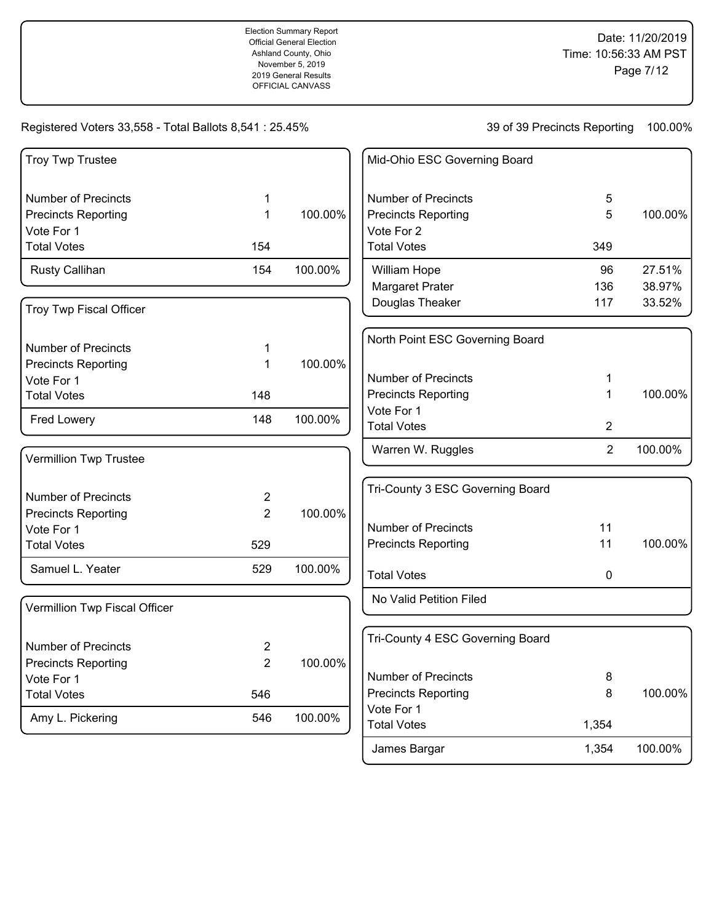# Registered Voters 33,558 - Total Ballots 8,541 : 25.45%

39 of 39 Precincts Reporting 100.00%

James Bargar 1,354 100.00%

| <b>Troy Twp Trustee</b>                  |                |         | Mid-Ohio ESC Governing Board     |                |         |
|------------------------------------------|----------------|---------|----------------------------------|----------------|---------|
| <b>Number of Precincts</b>               | 1              |         | <b>Number of Precincts</b>       | 5              |         |
| <b>Precincts Reporting</b>               | 1              | 100.00% | <b>Precincts Reporting</b>       | 5              | 100.00% |
| Vote For 1                               |                |         | Vote For 2                       |                |         |
| <b>Total Votes</b>                       | 154            |         | <b>Total Votes</b>               | 349            |         |
| Rusty Callihan                           | 154            | 100.00% | William Hope                     | 96             | 27.51%  |
|                                          |                |         | Margaret Prater                  | 136            | 38.97%  |
| Troy Twp Fiscal Officer                  |                |         | Douglas Theaker                  | 117            | 33.52%  |
|                                          |                |         | North Point ESC Governing Board  |                |         |
| <b>Number of Precincts</b>               | 1              |         |                                  |                |         |
| <b>Precincts Reporting</b><br>Vote For 1 | 1              | 100.00% | <b>Number of Precincts</b>       | 1              |         |
| <b>Total Votes</b>                       | 148            |         | <b>Precincts Reporting</b>       | 1              | 100.00% |
|                                          |                |         | Vote For 1                       |                |         |
| Fred Lowery                              | 148            | 100.00% | <b>Total Votes</b>               | $\overline{2}$ |         |
| Vermillion Twp Trustee                   |                |         | Warren W. Ruggles                | $\overline{2}$ | 100.00% |
|                                          |                |         | Tri-County 3 ESC Governing Board |                |         |
| <b>Number of Precincts</b>               | $\overline{2}$ |         |                                  |                |         |
| <b>Precincts Reporting</b>               | $\overline{2}$ | 100.00% |                                  |                |         |
| Vote For 1                               |                |         | <b>Number of Precincts</b>       | 11<br>11       | 100.00% |
| <b>Total Votes</b>                       | 529            |         | <b>Precincts Reporting</b>       |                |         |
| Samuel L. Yeater                         | 529            | 100.00% | <b>Total Votes</b>               | 0              |         |
| Vermillion Twp Fiscal Officer            |                |         | No Valid Petition Filed          |                |         |
|                                          |                |         |                                  |                |         |
| <b>Number of Precincts</b>               | 2              |         | Tri-County 4 ESC Governing Board |                |         |
| <b>Precincts Reporting</b>               | $\overline{2}$ | 100.00% |                                  |                |         |
| Vote For 1                               |                |         | <b>Number of Precincts</b>       | 8              |         |
| <b>Total Votes</b>                       | 546            |         | <b>Precincts Reporting</b>       | 8              | 100.00% |
| Amy L. Pickering                         | 546            | 100.00% | Vote For 1<br><b>Total Votes</b> | 1,354          |         |
|                                          |                |         |                                  |                |         |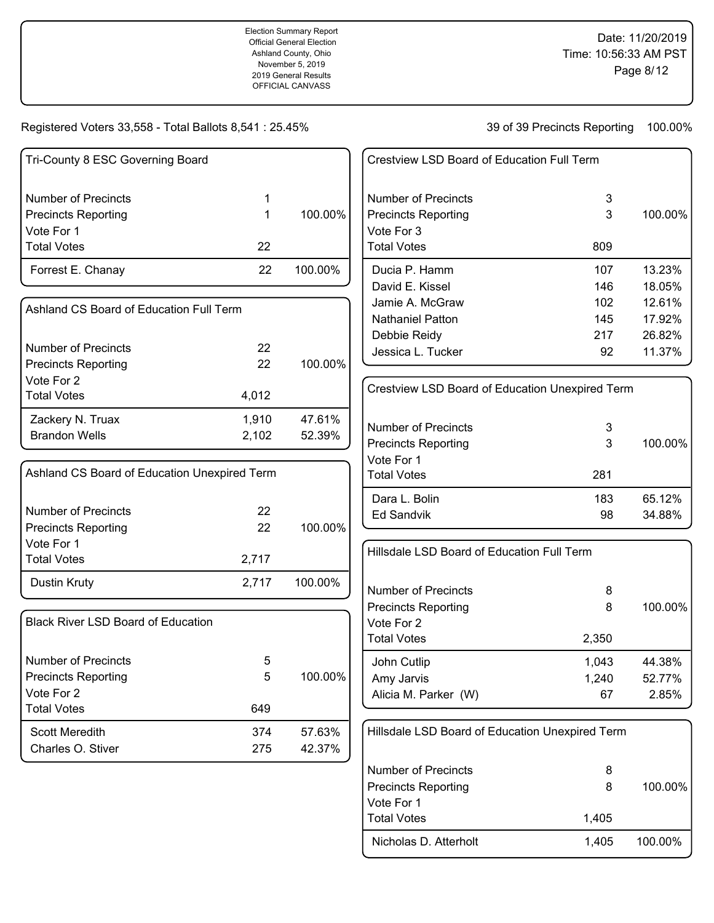Registered Voters 33,558 - Total Ballots 8,541 : 25.45%

| Tri-County 8 ESC Governing Board             |       |         | Crestview LSD Board of Education Full Term      |       |         |
|----------------------------------------------|-------|---------|-------------------------------------------------|-------|---------|
| <b>Number of Precincts</b>                   | 1     |         | <b>Number of Precincts</b>                      | 3     |         |
| <b>Precincts Reporting</b><br>Vote For 1     | 1     | 100.00% | <b>Precincts Reporting</b><br>Vote For 3        | 3     | 100.00% |
| <b>Total Votes</b>                           | 22    |         | <b>Total Votes</b>                              | 809   |         |
| Forrest E. Chanay                            | 22    | 100.00% | Ducia P. Hamm                                   | 107   | 13.23%  |
|                                              |       |         | David E. Kissel                                 | 146   | 18.05%  |
| Ashland CS Board of Education Full Term      |       |         | Jamie A. McGraw                                 | 102   | 12.61%  |
|                                              |       |         | <b>Nathaniel Patton</b>                         | 145   | 17.92%  |
| <b>Number of Precincts</b>                   | 22    |         | Debbie Reidy                                    | 217   | 26.82%  |
| <b>Precincts Reporting</b>                   | 22    | 100.00% | Jessica L. Tucker                               | 92    | 11.37%  |
| Vote For 2                                   |       |         |                                                 |       |         |
| <b>Total Votes</b>                           | 4,012 |         | Crestview LSD Board of Education Unexpired Term |       |         |
| Zackery N. Truax                             | 1,910 | 47.61%  |                                                 |       |         |
| <b>Brandon Wells</b>                         | 2,102 | 52.39%  | <b>Number of Precincts</b>                      | 3     |         |
|                                              |       |         | <b>Precincts Reporting</b>                      | 3     | 100.00% |
| Ashland CS Board of Education Unexpired Term |       |         | Vote For 1<br><b>Total Votes</b>                | 281   |         |
|                                              |       |         | Dara L. Bolin                                   | 183   | 65.12%  |
| <b>Number of Precincts</b>                   | 22    |         | <b>Ed Sandvik</b>                               | 98    | 34.88%  |
| <b>Precincts Reporting</b>                   | 22    | 100.00% |                                                 |       |         |
| Vote For 1                                   |       |         |                                                 |       |         |
| <b>Total Votes</b>                           | 2,717 |         | Hillsdale LSD Board of Education Full Term      |       |         |
| Dustin Kruty                                 | 2,717 | 100.00% | <b>Number of Precincts</b>                      | 8     |         |
|                                              |       |         | <b>Precincts Reporting</b>                      | 8     | 100.00% |
| <b>Black River LSD Board of Education</b>    |       |         | Vote For 2                                      |       |         |
|                                              |       |         | <b>Total Votes</b>                              | 2,350 |         |
| <b>Number of Precincts</b>                   | 5     |         | John Cutlip                                     | 1,043 | 44.38%  |
| <b>Precincts Reporting</b>                   | 5     | 100.00% | Amy Jarvis                                      | 1,240 | 52.77%  |
| Vote For 2                                   |       |         | Alicia M. Parker (W)                            | 67    | 2.85%   |
| <b>Total Votes</b>                           | 649   |         |                                                 |       |         |
| <b>Scott Meredith</b>                        | 374   | 57.63%  | Hillsdale LSD Board of Education Unexpired Term |       |         |
| Charles O. Stiver                            | 275   | 42.37%  |                                                 |       |         |
|                                              |       |         | <b>Number of Precincts</b>                      | 8     |         |
|                                              |       |         | <b>Precincts Reporting</b>                      | 8     | 100.00% |
|                                              |       |         | Vote For 1                                      |       |         |
|                                              |       |         | <b>Total Votes</b>                              | 1,405 |         |
|                                              |       |         | Nicholas D. Atterholt                           | 1,405 | 100.00% |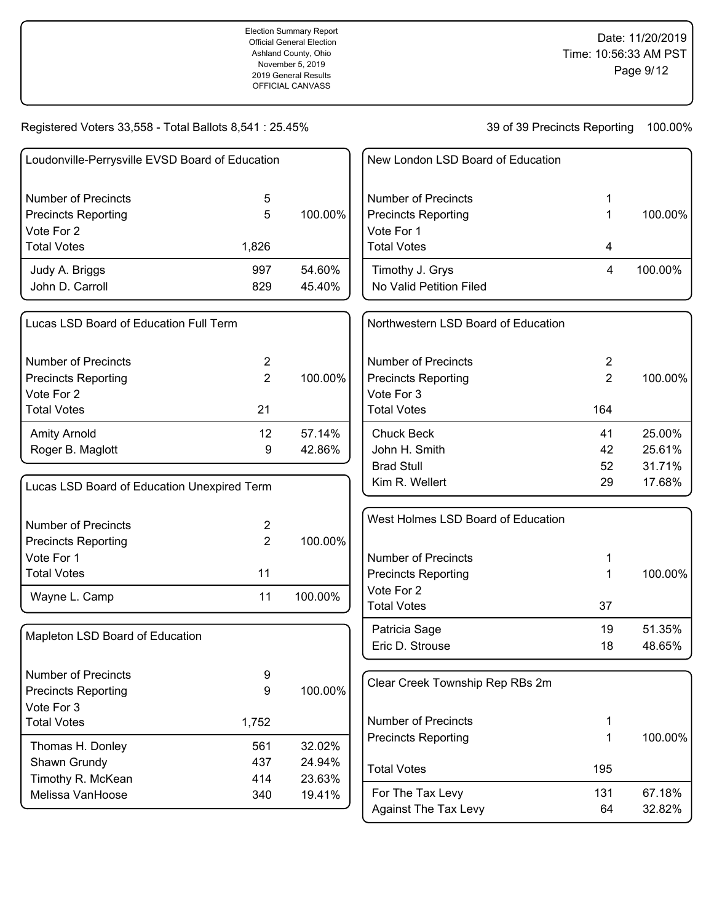| Loudonville-Perrysville EVSD Board of Education |       |         |  |  |
|-------------------------------------------------|-------|---------|--|--|
| Number of Precincts                             | 5     |         |  |  |
| <b>Precincts Reporting</b>                      | 5     | 100.00% |  |  |
| Vote For 2                                      |       |         |  |  |
| <b>Total Votes</b>                              | 1,826 |         |  |  |
| Judy A. Briggs                                  | 997   | 54.60%  |  |  |
| John D. Carroll                                 | 829   | 45.40%  |  |  |
|                                                 |       |         |  |  |

| l Lucas LSD Board of Education Full Term |    |         |
|------------------------------------------|----|---------|
| Number of Precincts                      | 2  |         |
| Precincts Reporting                      | 2  | 100.00% |
| Vote For 2                               |    |         |
| Total Votes                              | 21 |         |
| <b>Amity Arnold</b>                      | 12 | 57.14%  |
| Roger B. Maglott                         | 9  | 42.86%  |

| Lucas LSD Board of Education Unexpired Term |    |         |
|---------------------------------------------|----|---------|
| Number of Precincts                         | 2  |         |
| <b>Precincts Reporting</b>                  | 2  | 100.00% |
| Vote For 1                                  |    |         |
| <b>Total Votes</b>                          | 11 |         |
| Wayne L. Camp                               | 11 | 100.00% |

| Mapleton LSD Board of Education |       |           |
|---------------------------------|-------|-----------|
| Number of Precincts             | 9     |           |
| <b>Precincts Reporting</b>      | 9     | 100.00%   |
| Vote For 3                      |       |           |
| <b>Total Votes</b>              | 1,752 |           |
| Thomas H. Donley                | 561   | $32.02\%$ |
| Shawn Grundy                    | 437   | 24.94%    |
| Timothy R. McKean               | 414   | 23.63%    |
| Melissa VanHoose                | 340   | 19.41%    |

| New London LSD Board of Education          |   |         |
|--------------------------------------------|---|---------|
| Number of Precincts                        | 1 |         |
| <b>Precincts Reporting</b>                 | 1 | 100.00% |
| Vote For 1                                 |   |         |
| <b>Total Votes</b>                         | 4 |         |
| Timothy J. Grys<br>No Valid Petition Filed | 4 | 100.00% |

| Northwestern LSD Board of Education |     |         |
|-------------------------------------|-----|---------|
| Number of Precincts                 | 2   |         |
| <b>Precincts Reporting</b>          | 2   | 100.00% |
| Vote For 3                          |     |         |
| <b>Total Votes</b>                  | 164 |         |
|                                     |     |         |
| <b>Chuck Beck</b>                   | 41  | 25.00%  |
| John H. Smith                       | 42  | 25.61%  |
| <b>Brad Stull</b>                   | 52  | 31.71%  |

| West Holmes LSD Board of Education |    |         |
|------------------------------------|----|---------|
| Number of Precincts                | 1  |         |
| <b>Precincts Reporting</b>         | 1  | 100.00% |
| Vote For 2                         |    |         |
| <b>Total Votes</b>                 | 37 |         |
| Patricia Sage                      | 19 | 51.35%  |
| Eric D. Strouse                    | 18 | 48.65%  |

| Clear Creek Township Rep RBs 2m                   |           |                  |
|---------------------------------------------------|-----------|------------------|
| Number of Precincts<br><b>Precincts Reporting</b> | 1         | 100.00%          |
| <b>Total Votes</b>                                | 195       |                  |
| For The Tax Levy<br><b>Against The Tax Levy</b>   | 131<br>64 | 67.18%<br>32.82% |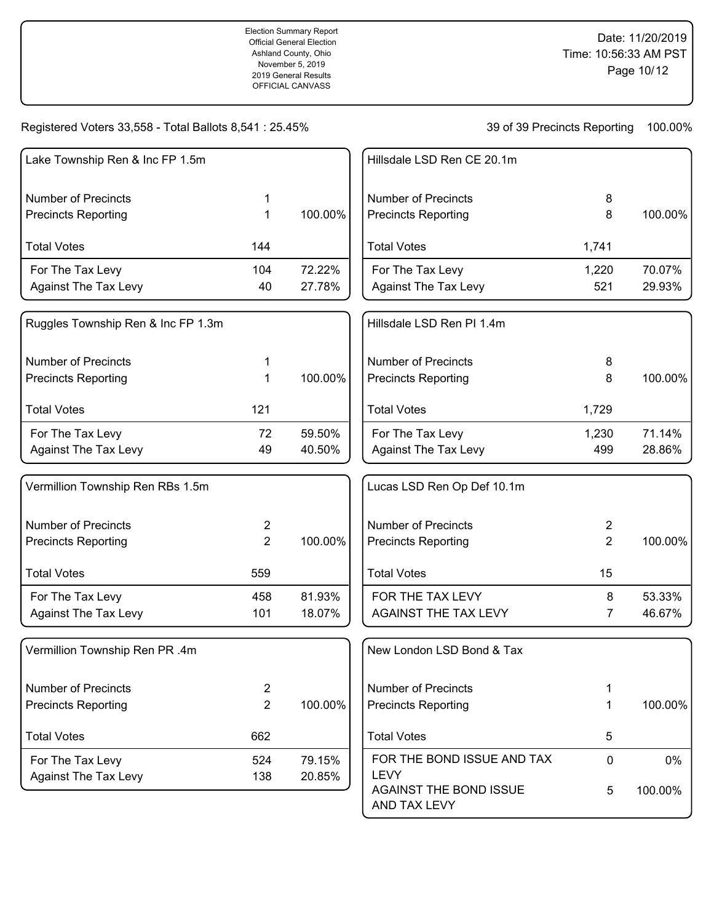| Lake Township Ren & Inc FP 1.5m    |                |         | Hillsdale LSD Ren CE 20.1m                                   |                |         |
|------------------------------------|----------------|---------|--------------------------------------------------------------|----------------|---------|
| <b>Number of Precincts</b>         | 1              |         | <b>Number of Precincts</b>                                   | 8              |         |
| <b>Precincts Reporting</b>         | 1              | 100.00% | <b>Precincts Reporting</b>                                   | 8              | 100.00% |
| <b>Total Votes</b>                 | 144            |         | <b>Total Votes</b>                                           | 1,741          |         |
| For The Tax Levy                   | 104            | 72.22%  | For The Tax Levy                                             | 1,220          | 70.07%  |
| <b>Against The Tax Levy</b>        | 40             | 27.78%  | <b>Against The Tax Levy</b>                                  | 521            | 29.93%  |
| Ruggles Township Ren & Inc FP 1.3m |                |         | Hillsdale LSD Ren PI 1.4m                                    |                |         |
| <b>Number of Precincts</b>         | 1              |         | <b>Number of Precincts</b>                                   | 8              |         |
| <b>Precincts Reporting</b>         | 1              | 100.00% | <b>Precincts Reporting</b>                                   | 8              | 100.00% |
| <b>Total Votes</b>                 | 121            |         | <b>Total Votes</b>                                           | 1,729          |         |
| For The Tax Levy                   | 72             | 59.50%  | For The Tax Levy                                             | 1,230          | 71.14%  |
| <b>Against The Tax Levy</b>        | 49             | 40.50%  | <b>Against The Tax Levy</b>                                  | 499            | 28.86%  |
| Vermillion Township Ren RBs 1.5m   |                |         | Lucas LSD Ren Op Def 10.1m                                   |                |         |
| <b>Number of Precincts</b>         | 2              |         | <b>Number of Precincts</b>                                   | $\overline{2}$ |         |
| <b>Precincts Reporting</b>         | 2              | 100.00% | <b>Precincts Reporting</b>                                   | $\overline{2}$ | 100.00% |
| <b>Total Votes</b>                 | 559            |         | <b>Total Votes</b>                                           | 15             |         |
| For The Tax Levy                   | 458            | 81.93%  | FOR THE TAX LEVY                                             | 8              | 53.33%  |
| <b>Against The Tax Levy</b>        | 101            | 18.07%  | <b>AGAINST THE TAX LEVY</b>                                  | 7              | 46.67%  |
| Vermillion Township Ren PR .4m     |                |         | New London LSD Bond & Tax                                    |                |         |
| <b>Number of Precincts</b>         | $\overline{2}$ |         | <b>Number of Precincts</b>                                   | 1              |         |
| <b>Precincts Reporting</b>         | $\overline{2}$ | 100.00% | <b>Precincts Reporting</b>                                   | 1              | 100.00% |
| <b>Total Votes</b>                 | 662            |         | <b>Total Votes</b>                                           | 5              |         |
| For The Tax Levy                   | 524            | 79.15%  | FOR THE BOND ISSUE AND TAX                                   | 0              | 0%      |
| <b>Against The Tax Levy</b>        | 138            | 20.85%  | <b>LEVY</b><br><b>AGAINST THE BOND ISSUE</b><br>AND TAX LEVY | 5              | 100.00% |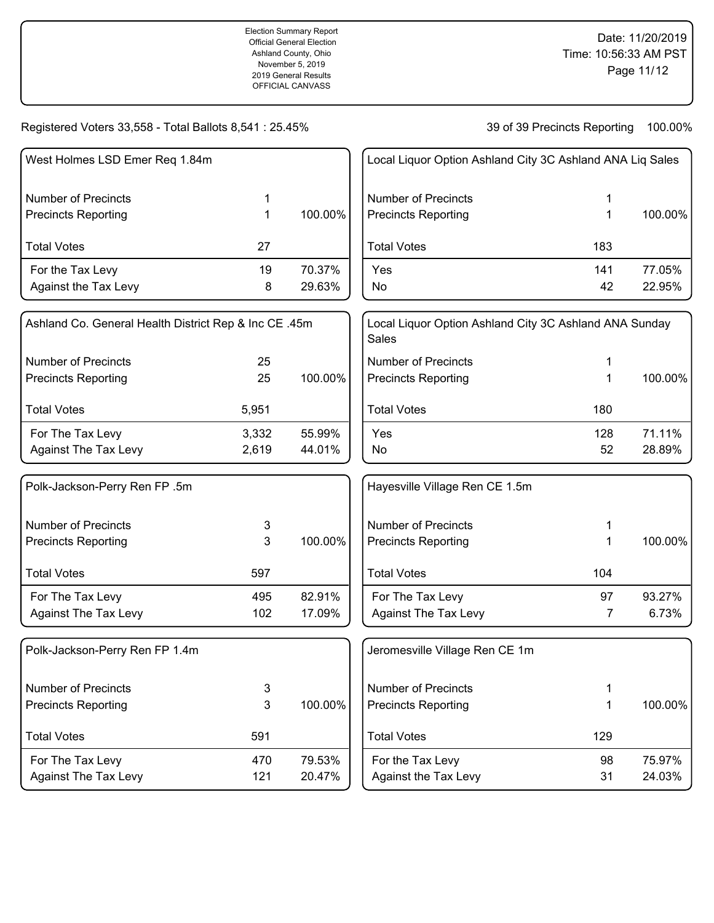39 of 39 Precincts Reporting 100.00%

| West Holmes LSD Emer Req 1.84m                        |       |         | Local Liquor C                 |
|-------------------------------------------------------|-------|---------|--------------------------------|
| <b>Number of Precincts</b>                            | 1     |         | Number of Pre                  |
| <b>Precincts Reporting</b>                            | 1     | 100.00% | <b>Precincts Rep</b>           |
| <b>Total Votes</b>                                    | 27    |         | <b>Total Votes</b>             |
| For the Tax Levy                                      | 19    | 70.37%  | Yes                            |
| Against the Tax Levy                                  | 8     | 29.63%  | No                             |
| Ashland Co. General Health District Rep & Inc CE .45m |       |         | Local Liquor C<br><b>Sales</b> |
| Number of Precincts                                   | 25    |         | Number of Pre                  |
| <b>Precincts Reporting</b>                            | 25    | 100.00% | <b>Precincts Rep</b>           |
| <b>Total Votes</b>                                    | 5,951 |         | <b>Total Votes</b>             |
| For The Tax Levy                                      | 3,332 | 55.99%  | Yes                            |
| <b>Against The Tax Levy</b>                           | 2,619 | 44.01%  | No                             |
| Polk-Jackson-Perry Ren FP .5m                         |       |         | Hayesville Vill                |
| <b>Number of Precincts</b>                            | 3     |         | Number of Pre                  |
| <b>Precincts Reporting</b>                            | 3     | 100.00% | <b>Precincts Rep</b>           |
| <b>Total Votes</b>                                    | 597   |         | <b>Total Votes</b>             |
| For The Tax Levy                                      | 495   | 82.91%  | For The Tax I                  |
| <b>Against The Tax Levy</b>                           | 102   | 17.09%  | Against The                    |
| Polk-Jackson-Perry Ren FP 1.4m                        |       |         | Jeromesville \                 |
| <b>Number of Precincts</b>                            | 3     |         | Number of Pre                  |
| <b>Precincts Reporting</b>                            | 3     | 100.00% | <b>Precincts Rep</b>           |
| <b>Total Votes</b>                                    | 591   |         | <b>Total Votes</b>             |

For The Tax Levy 170 470 79.53% Against The Tax Levy 121 20.47%

| Local Liquor Option Ashland City 3C Ashland ANA Liq Sales |           |                  |
|-----------------------------------------------------------|-----------|------------------|
| Number of Precincts<br><b>Precincts Reporting</b>         | 1<br>1    | 100.00%          |
| <b>Total Votes</b>                                        | 183       |                  |
| Yes<br>No                                                 | 141<br>42 | 77.05%<br>22.95% |

| Local Liquor Option Ashland City 3C Ashland ANA Sunday<br>Sales |     |         |
|-----------------------------------------------------------------|-----|---------|
| Number of Precincts                                             | 1   |         |
| <b>Precincts Reporting</b>                                      | 1   | 100.00% |
| <b>Total Votes</b>                                              | 180 |         |
| Yes                                                             | 128 | 71.11%  |
| No                                                              | 52  | 28.89%  |

| Hayesville Village Ren CE 1.5m                    |        |                 |
|---------------------------------------------------|--------|-----------------|
| Number of Precincts<br><b>Precincts Reporting</b> | 1<br>1 | 100.00%         |
| <b>Total Votes</b>                                | 104    |                 |
| For The Tax Levy<br><b>Against The Tax Levy</b>   | 97     | 93.27%<br>6.73% |

| Jeromesville Village Ren CE 1m             |          |                  |
|--------------------------------------------|----------|------------------|
| Number of Precincts<br>Precincts Reporting | 1<br>1   | 100.00%          |
| <b>Total Votes</b>                         | 129      |                  |
| For the Tax Levy<br>Against the Tax Levy   | 98<br>31 | 75.97%<br>24.03% |